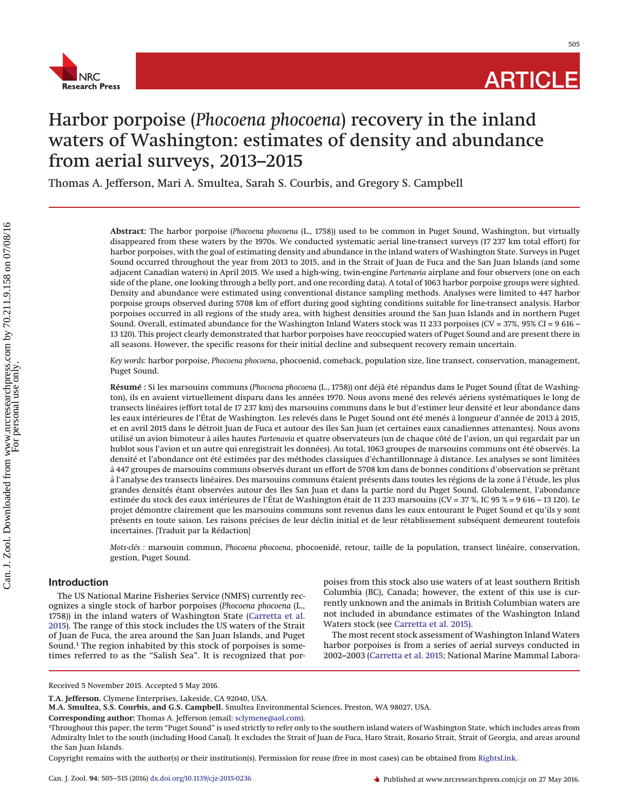

505

# Harbor porpoise (*Phocoena phocoena*) recovery in the inland waters of Washington: estimates of density and abundance from aerial surveys, 2013–2015

Thomas A. Jefferson, Mari A. Smultea, Sarah S. Courbis, and Gregory S. Campbell

**Abstract:** The harbor porpoise (*Phocoena phocoena* (L., 1758)) used to be common in Puget Sound, Washington, but virtually disappeared from these waters by the 1970s. We conducted systematic aerial line-transect surveys (17 237 km total effort) for harbor porpoises, with the goal of estimating density and abundance in the inland waters of Washington State. Surveys in Puget Sound occurred throughout the year from 2013 to 2015, and in the Strait of Juan de Fuca and the San Juan Islands (and some adjacent Canadian waters) in April 2015. We used a high-wing, twin-engine *Partenavia* airplane and four observers (one on each side of the plane, one looking through a belly port, and one recording data). A total of 1063 harbor porpoise groups were sighted. Density and abundance were estimated using conventional distance sampling methods. Analyses were limited to 447 harbor porpoise groups observed during 5708 km of effort during good sighting conditions suitable for line-transect analysis. Harbor porpoises occurred in all regions of the study area, with highest densities around the San Juan Islands and in northern Puget Sound. Overall, estimated abundance for the Washington Inland Waters stock was 11 233 porpoises (CV = 37%, 95% CI = 9 616 – 13 120). This project clearly demonstrated that harbor porpoises have reoccupied waters of Puget Sound and are present there in all seasons. However, the specific reasons for their initial decline and subsequent recovery remain uncertain.

*Key words:* harbor porpoise, *Phocoena phocoena*, phocoenid, comeback, population size, line transect, conservation, management, Puget Sound.

**Résumé :** Si les marsouins communs (*Phocoena phocoena* (L., 1758)) ont déja` été répandus dans le Puget Sound (État de Washington), ils en avaient virtuellement disparu dans les années 1970. Nous avons mené des relevés aériens systématiques le long de transects linéaires (effort total de 17 237 km) des marsouins communs dans le but d'estimer leur densité et leur abondance dans les eaux intérieures de l'État de Washington. Les relevés dans le Puget Sound ont été menés à longueur d'année de 2013 à 2015, et en avril 2015 dans le détroit Juan de Fuca et autour des îles San Juan (et certaines eaux canadiennes attenantes). Nous avons utilisé un avion bimoteur a` ailes hautes *Partenavia* et quatre observateurs (un de chaque côté de l'avion, un qui regardait par un hublot sous l'avion et un autre qui enregistrait les données). Au total, 1063 groupes de marsouins communs ont été observés. La densité et l'abondance ont été estimées par des méthodes classiques d'échantillonnage a` distance. Les analyses se sont limitées a` 447 groupes de marsouins communs observés durant un effort de 5708 km dans de bonnes conditions d'observation se prêtant à l'analyse des transects linéaires. Des marsouins communs étaient présents dans toutes les régions de la zone à l'étude, les plus grandes densités étant observées autour des îles San Juan et dans la partie nord du Puget Sound. Globalement, l'abondance estimée du stock des eaux intérieures de l'État de Washington était de 11 233 marsouins (CV = 37 %, IC 95 % = 9 616 – 13 120). Le projet démontre clairement que les marsouins communs sont revenus dans les eaux entourant le Puget Sound et qu'ils y sont présents en toute saison. Les raisons précises de leur déclin initial et de leur rétablissement subséquent demeurent toutefois incertaines. [Traduit par la Rédaction]

*Mots-clés :* marsouin commun, *Phocoena phocoena*, phocoenidé, retour, taille de la population, transect linéaire, conservation, gestion, Puget Sound.

# **Introduction**

The US National Marine Fisheries Service (NMFS) currently recognizes a single stock of harbor porpoises (*Phocoena phocoena* (L., 1758)) in the inland waters of Washington State [\(Carretta et al.](#page-9-0) [2015\)](#page-9-0). The range of this stock includes the US waters of the Strait of Juan de Fuca, the area around the San Juan Islands, and Puget Sound.1 The region inhabited by this stock of porpoises is sometimes referred to as the "Salish Sea". It is recognized that porpoises from this stock also use waters of at least southern British Columbia (BC), Canada; however, the extent of this use is currently unknown and the animals in British Columbian waters are not included in abundance estimates of the Washington Inland Waters stock (see [Carretta et al. 2015\)](#page-9-0).

The most recent stock assessment of Washington Inland Waters harbor porpoises is from a series of aerial surveys conducted in 2002–2003 [\(Carretta et al. 2015;](#page-9-0) National Marine Mammal Labora-

Received 5 November 2015. Accepted 5 May 2016.

**T.A. Jefferson.** Clymene Enterprises, Lakeside, CA 92040, USA.

**M.A. Smultea, S.S. Courbis, and G.S. Campbell.** Smultea Environmental Sciences, Preston, WA 98027, USA.

**Corresponding author:** Thomas A. Jefferson (email: [sclymene@aol.com\)](mailto:sclymene@aol.com).

<sup>1</sup> Throughout this paper, the term "Puget Sound" is used strictly to refer only to the southern inland waters of Washington State, which includes areas from Admiralty Inlet to the south (including Hood Canal). It excludes the Strait of Juan de Fuca, Haro Strait, Rosario Strait, Strait of Georgia, and areas around the San Juan Islands.

Copyright remains with the author(s) or their institution(s). Permission for reuse (free in most cases) can be obtained from [RightsLink.](http://www.nrcresearchpress.com/page/authors/services/reprints)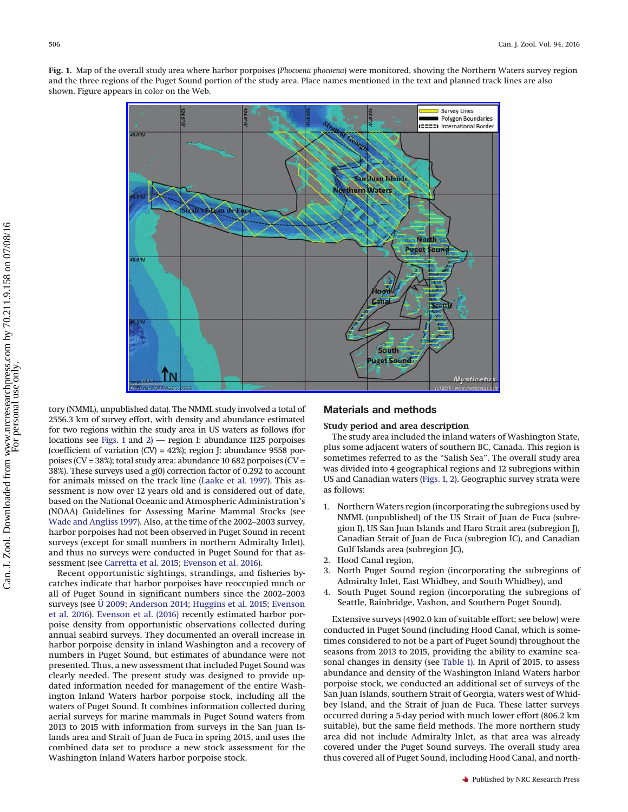<span id="page-1-0"></span>**Fig. 1.** Map of the overall study area where harbor porpoises (*Phocoena phocoena*) were monitored, showing the Northern Waters survey region and the three regions of the Puget Sound portion of the study area. Place names mentioned in the text and planned track lines are also shown. Figure appears in color on the Web.



tory (NMML), unpublished data). The NMML study involved a total of 2556.3 km of survey effort, with density and abundance estimated for two regions within the study area in US waters as follows (for locations see [Figs. 1](#page-1-0) and [2\)](#page-2-0) — region I: abundance 1125 porpoises (coefficient of variation (CV) = 42%); region J: abundance 9558 porpoises (CV = 38%); total study area: abundance 10 682 porpoises (CV = 38%). These surveys used a *g*(0) correction factor of 0.292 to account for animals missed on the track line [\(Laake et al. 1997\)](#page-9-1). This assessment is now over 12 years old and is considered out of date, based on the National Oceanic and Atmospheric Administration's (NOAA) Guidelines for Assessing Marine Mammal Stocks (see [Wade and Angliss 1997\)](#page-10-0). Also, at the time of the 2002–2003 survey, harbor porpoises had not been observed in Puget Sound in recent surveys (except for small numbers in northern Admiralty Inlet), and thus no surveys were conducted in Puget Sound for that assessment (see [Carretta et al. 2015;](#page-9-0) [Evenson et al. 2016\)](#page-9-2).

Recent opportunistic sightings, strandings, and fisheries bycatches indicate that harbor porpoises have reoccupied much or all of Puget Sound in significant numbers since the 2002–2003 surveys (see Ü [2009;](#page-10-1) [Anderson 2014;](#page-9-3) [Huggins et al. 2015;](#page-9-4) [Evenson](#page-9-2) [et al. 2016\)](#page-9-2). [Evenson et al. \(2016\)](#page-9-2) recently estimated harbor porpoise density from opportunistic observations collected during annual seabird surveys. They documented an overall increase in harbor porpoise density in inland Washington and a recovery of numbers in Puget Sound, but estimates of abundance were not presented. Thus, a new assessment that included Puget Sound was clearly needed. The present study was designed to provide updated information needed for management of the entire Washington Inland Waters harbor porpoise stock, including all the waters of Puget Sound. It combines information collected during aerial surveys for marine mammals in Puget Sound waters from 2013 to 2015 with information from surveys in the San Juan Islands area and Strait of Juan de Fuca in spring 2015, and uses the combined data set to produce a new stock assessment for the Washington Inland Waters harbor porpoise stock.

## **Materials and methods**

#### **Study period and area description**

The study area included the inland waters of Washington State, plus some adjacent waters of southern BC, Canada. This region is sometimes referred to as the "Salish Sea". The overall study area was divided into 4 geographical regions and 12 subregions within US and Canadian waters [\(Figs. 1,](#page-1-0) [2\)](#page-2-0). Geographic survey strata were as follows:

- 1. Northern Waters region (incorporating the subregions used by NMML (unpublished) of the US Strait of Juan de Fuca (subregion I), US San Juan Islands and Haro Strait area (subregion J), Canadian Strait of Juan de Fuca (subregion IC), and Canadian Gulf Islands area (subregion JC),
- 2. Hood Canal region,
- 3. North Puget Sound region (incorporating the subregions of Admiralty Inlet, East Whidbey, and South Whidbey), and
- 4. South Puget Sound region (incorporating the subregions of Seattle, Bainbridge, Vashon, and Southern Puget Sound).

Extensive surveys (4902.0 km of suitable effort; see below) were conducted in Puget Sound (including Hood Canal, which is sometimes considered to not be a part of Puget Sound) throughout the seasons from 2013 to 2015, providing the ability to examine seasonal changes in density (see [Table 1\)](#page-2-1). In April of 2015, to assess abundance and density of the Washington Inland Waters harbor porpoise stock, we conducted an additional set of surveys of the San Juan Islands, southern Strait of Georgia, waters west of Whidbey Island, and the Strait of Juan de Fuca. These latter surveys occurred during a 5-day period with much lower effort (806.2 km suitable), but the same field methods. The more northern study area did not include Admiralty Inlet, as that area was already covered under the Puget Sound surveys. The overall study area thus covered all of Puget Sound, including Hood Canal, and north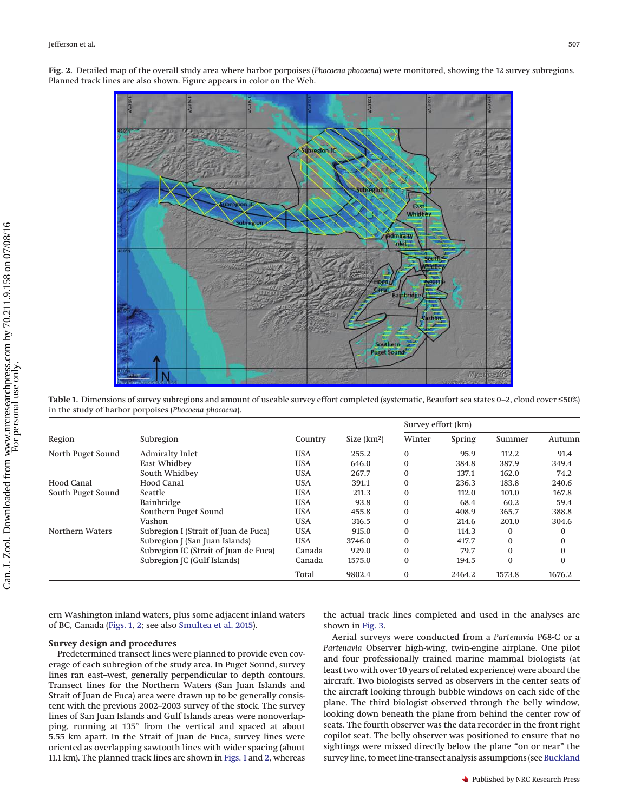<span id="page-2-0"></span>**Fig. 2.** Detailed map of the overall study area where harbor porpoises (*Phocoena phocoena*) were monitored, showing the 12 survey subregions. Planned track lines are also shown. Figure appears in color on the Web.



<span id="page-2-1"></span>**Table 1.** Dimensions of survey subregions and amount of useable survey effort completed (systematic, Beaufort sea states 0–2, cloud cover ≤50%) in the study of harbor porpoises (*Phocoena phocoena*).

|                   |                                       |            |              | Survey effort (km) |        |          |          |  |  |
|-------------------|---------------------------------------|------------|--------------|--------------------|--------|----------|----------|--|--|
| Region            | Subregion                             | Country    | Size $(km2)$ | Winter             | Spring | Summer   | Autumn   |  |  |
| North Puget Sound | <b>Admiralty Inlet</b>                | <b>USA</b> | 255.2        | $\bf{0}$           | 95.9   | 112.2    | 91.4     |  |  |
|                   | East Whidbey                          | <b>USA</b> | 646.0        | 0                  | 384.8  | 387.9    | 349.4    |  |  |
|                   | South Whidbey                         | <b>USA</b> | 267.7        | $\bf{0}$           | 137.1  | 162.0    | 74.2     |  |  |
| Hood Canal        | Hood Canal                            | <b>USA</b> | 391.1        | 0                  | 236.3  | 183.8    | 240.6    |  |  |
| South Puget Sound | Seattle                               | <b>USA</b> | 211.3        | $\bf{0}$           | 112.0  | 101.0    | 167.8    |  |  |
|                   | Bainbridge                            | <b>USA</b> | 93.8         | 0                  | 68.4   | 60.2     | 59.4     |  |  |
|                   | Southern Puget Sound                  | <b>USA</b> | 455.8        | $\Omega$           | 408.9  | 365.7    | 388.8    |  |  |
|                   | Vashon                                | <b>USA</b> | 316.5        | $\bf{0}$           | 214.6  | 201.0    | 304.6    |  |  |
| Northern Waters   | Subregion I (Strait of Juan de Fuca)  | <b>USA</b> | 915.0        | $\Omega$           | 114.3  | 0        |          |  |  |
|                   | Subregion J (San Juan Islands)        | <b>USA</b> | 3746.0       | $\Omega$           | 417.7  | $\Omega$ | 0        |  |  |
|                   | Subregion IC (Strait of Juan de Fuca) | Canada     | 929.0        | $\Omega$           | 79.7   | $\Omega$ | $\Omega$ |  |  |
|                   | Subregion JC (Gulf Islands)           | Canada     | 1575.0       | 0                  | 194.5  | $\Omega$ | 0        |  |  |
|                   |                                       | Total      | 9802.4       | $\bf{0}$           | 2464.2 | 1573.8   | 1676.2   |  |  |

ern Washington inland waters, plus some adjacent inland waters of BC, Canada [\(Figs. 1,](#page-1-0) [2;](#page-2-0) see also [Smultea et al. 2015\)](#page-10-2).

### **Survey design and procedures**

Predetermined transect lines were planned to provide even coverage of each subregion of the study area. In Puget Sound, survey lines ran east–west, generally perpendicular to depth contours. Transect lines for the Northern Waters (San Juan Islands and Strait of Juan de Fuca) area were drawn up to be generally consistent with the previous 2002–2003 survey of the stock. The survey lines of San Juan Islands and Gulf Islands areas were nonoverlapping, running at 135° from the vertical and spaced at about 5.55 km apart. In the Strait of Juan de Fuca, survey lines were oriented as overlapping sawtooth lines with wider spacing (about 11.1 km). The planned track lines are shown in [Figs. 1](#page-1-0) and [2,](#page-2-0) whereas the actual track lines completed and used in the analyses are shown in [Fig. 3.](#page-3-0)

Aerial surveys were conducted from a *Partenavia* P68-C or a *Partenavia* Observer high-wing, twin-engine airplane. One pilot and four professionally trained marine mammal biologists (at least two with over 10 years of related experience) were aboard the aircraft. Two biologists served as observers in the center seats of the aircraft looking through bubble windows on each side of the plane. The third biologist observed through the belly window, looking down beneath the plane from behind the center row of seats. The fourth observer was the data recorder in the front right copilot seat. The belly observer was positioned to ensure that no sightings were missed directly below the plane "on or near" the survey line, to meet line-transect analysis assumptions (see [Buckland](#page-9-5)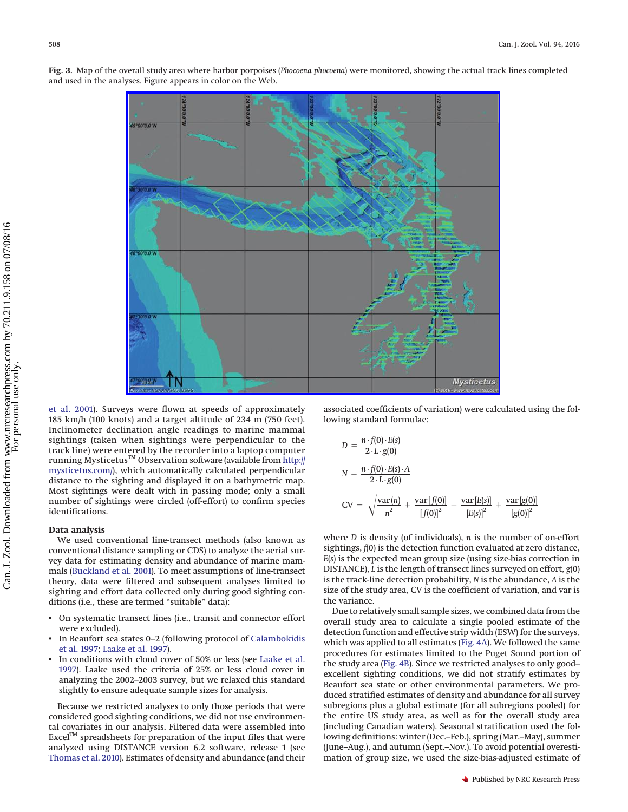<span id="page-3-0"></span>**Fig. 3.** Map of the overall study area where harbor porpoises (*Phocoena phocoena*) were monitored, showing the actual track lines completed and used in the analyses. Figure appears in color on the Web.



[et al. 2001\)](#page-9-5). Surveys were flown at speeds of approximately 185 km/h (100 knots) and a target altitude of 234 m (750 feet). Inclinometer declination angle readings to marine mammal sightings (taken when sightings were perpendicular to the track line) were entered by the recorder into a laptop computer running Mysticetus™ Observation software (available from [http://](http://mysticetus.com/) [mysticetus.com/\)](http://mysticetus.com/), which automatically calculated perpendicular distance to the sighting and displayed it on a bathymetric map. Most sightings were dealt with in passing mode; only a small number of sightings were circled (off-effort) to confirm species identifications.

#### **Data analysis**

We used conventional line-transect methods (also known as conventional distance sampling or CDS) to analyze the aerial survey data for estimating density and abundance of marine mammals [\(Buckland et al. 2001\)](#page-9-5). To meet assumptions of line-transect theory, data were filtered and subsequent analyses limited to sighting and effort data collected only during good sighting conditions (i.e., these are termed "suitable" data):

- On systematic transect lines (i.e., transit and connector effort were excluded).
- In Beaufort sea states 0–2 (following protocol of [Calambokidis](#page-9-6) [et al. 1997;](#page-9-6) [Laake et al. 1997\)](#page-9-1).
- In conditions with cloud cover of 50% or less (see [Laake et al.](#page-9-1) [1997\)](#page-9-1). Laake used the criteria of 25% or less cloud cover in analyzing the 2002–2003 survey, but we relaxed this standard slightly to ensure adequate sample sizes for analysis.

Because we restricted analyses to only those periods that were considered good sighting conditions, we did not use environmental covariates in our analysis. Filtered data were assembled into Excel™ spreadsheets for preparation of the input files that were analyzed using DISTANCE version 6.2 software, release 1 (see [Thomas et al. 2010\)](#page-10-3). Estimates of density and abundance (and their

associated coefficients of variation) were calculated using the following standard formulae:

$$
D = \frac{n \cdot f(0) \cdot E(s)}{2 \cdot L \cdot g(0)}
$$
  
\n
$$
N = \frac{n \cdot f(0) \cdot E(s) \cdot A}{2 \cdot L \cdot g(0)}
$$
  
\n
$$
CV = \sqrt{\frac{\text{var}(n)}{n^2} + \frac{\text{var}[f(0)]}{[f(0)]^2} + \frac{\text{var}[E(s)]}{[E(s)]^2} + \frac{\text{var}[g(0)]}{[g(0)]^2}}
$$

where *D* is density (of individuals), *n* is the number of on-effort sightings, *f*(0) is the detection function evaluated at zero distance, *E*(*s*) is the expected mean group size (using size-bias correction in DISTANCE), *L* is the length of transect lines surveyed on effort, *g*(0) is the track-line detection probability, *N* is the abundance, *A* is the size of the study area, CV is the coefficient of variation, and var is the variance.

Due to relatively small sample sizes, we combined data from the overall study area to calculate a single pooled estimate of the detection function and effective strip width (ESW) for the surveys, which was applied to all estimates [\(Fig. 4A\)](#page-4-0). We followed the same procedures for estimates limited to the Puget Sound portion of the study area [\(Fig. 4B\)](#page-4-0). Since we restricted analyses to only good– excellent sighting conditions, we did not stratify estimates by Beaufort sea state or other environmental parameters. We produced stratified estimates of density and abundance for all survey subregions plus a global estimate (for all subregions pooled) for the entire US study area, as well as for the overall study area (including Canadian waters). Seasonal stratification used the following definitions: winter (Dec.–Feb.), spring (Mar.–May), summer (June–Aug.), and autumn (Sept.–Nov.). To avoid potential overestimation of group size, we used the size-bias-adjusted estimate of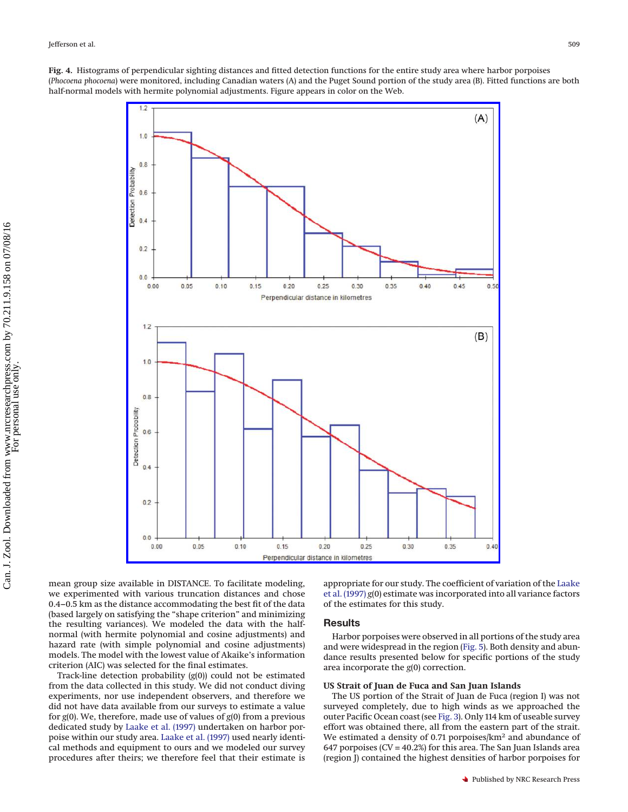<span id="page-4-0"></span>**Fig. 4.** Histograms of perpendicular sighting distances and fitted detection functions for the entire study area where harbor porpoises (*Phocoena phocoena*) were monitored, including Canadian waters (A) and the Puget Sound portion of the study area (B). Fitted functions are both half-normal models with hermite polynomial adjustments. Figure appears in color on the Web.



mean group size available in DISTANCE. To facilitate modeling, we experimented with various truncation distances and chose 0.4–0.5 km as the distance accommodating the best fit of the data (based largely on satisfying the "shape criterion" and minimizing the resulting variances). We modeled the data with the halfnormal (with hermite polynomial and cosine adjustments) and hazard rate (with simple polynomial and cosine adjustments) models. The model with the lowest value of Akaike's information criterion (AIC) was selected for the final estimates.

Track-line detection probability (*g*(0)) could not be estimated from the data collected in this study. We did not conduct diving experiments, nor use independent observers, and therefore we did not have data available from our surveys to estimate a value for *g*(0). We, therefore, made use of values of *g*(0) from a previous dedicated study by [Laake et al. \(1997\)](#page-9-1) undertaken on harbor porpoise within our study area. [Laake et al. \(1997\)](#page-9-1) used nearly identical methods and equipment to ours and we modeled our survey procedures after theirs; we therefore feel that their estimate is

appropriate for our study. The coefficient of variation of the [Laake](#page-9-1) [et al. \(1997\)](#page-9-1) *g*(0) estimate was incorporated into all variance factors of the estimates for this study.

## **Results**

Harbor porpoises were observed in all portions of the study area and were widespread in the region [\(Fig. 5\)](#page-5-0). Both density and abundance results presented below for specific portions of the study area incorporate the *g*(0) correction.

#### **US Strait of Juan de Fuca and San Juan Islands**

The US portion of the Strait of Juan de Fuca (region I) was not surveyed completely, due to high winds as we approached the outer Pacific Ocean coast (see [Fig. 3\)](#page-3-0). Only 114 km of useable survey effort was obtained there, all from the eastern part of the strait. We estimated a density of 0.71 porpoises/km<sup>2</sup> and abundance of 647 porpoises ( $CV = 40.2%$ ) for this area. The San Juan Islands area (region J) contained the highest densities of harbor porpoises for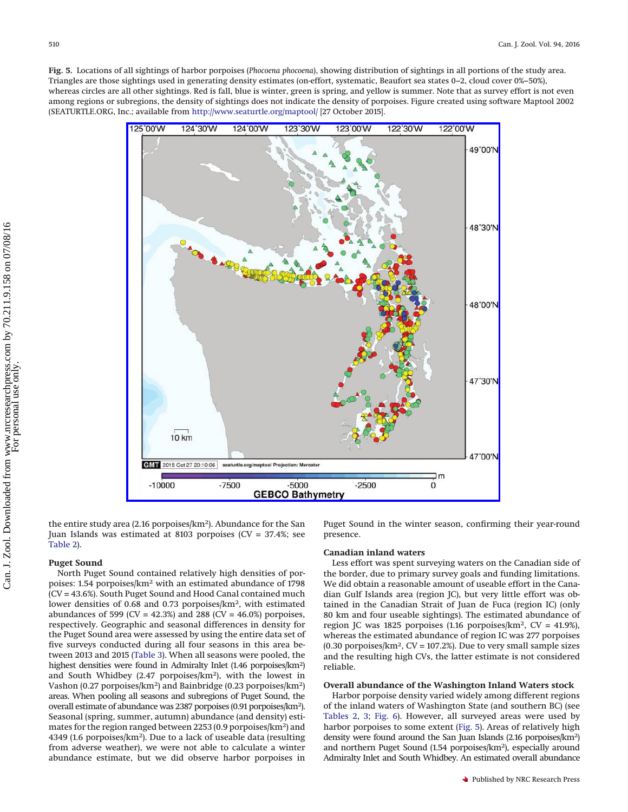<span id="page-5-0"></span>**Fig. 5.** Locations of all sightings of harbor porpoises (*Phocoena phocoena*), showing distribution of sightings in all portions of the study area. Triangles are those sightings used in generating density estimates (on-effort, systematic, Beaufort sea states 0–2, cloud cover 0%–50%), whereas circles are all other sightings. Red is fall, blue is winter, green is spring, and yellow is summer. Note that as survey effort is not even among regions or subregions, the density of sightings does not indicate the density of porpoises. Figure created using software Maptool 2002 (SEATURTLE.ORG, Inc.; available from <http://www.seaturtle.org/maptool/> [27 October 2015].



the entire study area (2.16 porpoises/km<sup>2</sup>). Abundance for the San Juan Islands was estimated at 8103 porpoises (CV = 37.4%; see [Table 2\)](#page-6-0).

#### **Puget Sound**

North Puget Sound contained relatively high densities of porpoises: 1.54 porpoises/km2 with an estimated abundance of 1798 (CV = 43.6%). South Puget Sound and Hood Canal contained much lower densities of 0.68 and 0.73 porpoises/km2, with estimated abundances of 599 (CV =  $42.3\%$ ) and 288 (CV =  $46.0\%$ ) porpoises, respectively. Geographic and seasonal differences in density for the Puget Sound area were assessed by using the entire data set of five surveys conducted during all four seasons in this area between 2013 and 2015 [\(Table 3\)](#page-6-1). When all seasons were pooled, the highest densities were found in Admiralty Inlet (1.46 porpoises/km2) and South Whidbey (2.47 porpoises/km2), with the lowest in Vashon (0.27 porpoises/km2) and Bainbridge (0.23 porpoises/km2) areas. When pooling all seasons and subregions of Puget Sound, the overall estimate of abundance was 2387 porpoises (0.91 porpoises/km2). Seasonal (spring, summer, autumn) abundance (and density) estimates for the region ranged between 2253 (0.9 porpoises/km2) and 4349 (1.6 porpoises/km2). Due to a lack of useable data (resulting from adverse weather), we were not able to calculate a winter abundance estimate, but we did observe harbor porpoises in

Puget Sound in the winter season, confirming their year-round presence.

### **Canadian inland waters**

Less effort was spent surveying waters on the Canadian side of the border, due to primary survey goals and funding limitations. We did obtain a reasonable amount of useable effort in the Canadian Gulf Islands area (region JC), but very little effort was obtained in the Canadian Strait of Juan de Fuca (region IC) (only 80 km and four useable sightings). The estimated abundance of region JC was 1825 porpoises (1.16 porpoises/ $km^2$ , CV = 41.9%), whereas the estimated abundance of region IC was 277 porpoises  $(0.30$  porpoises/km<sup>2</sup>, CV = 107.2%). Due to very small sample sizes and the resulting high CVs, the latter estimate is not considered reliable.

#### **Overall abundance of the Washington Inland Waters stock**

Harbor porpoise density varied widely among different regions of the inland waters of Washington State (and southern BC) (see [Tables 2,](#page-6-0) [3;](#page-6-1) [Fig. 6\)](#page-7-0). However, all surveyed areas were used by harbor porpoises to some extent [\(Fig. 5\)](#page-5-0). Areas of relatively high density were found around the San Juan Islands (2.16 porpoises/km2) and northern Puget Sound (1.54 porpoises/km2), especially around Admiralty Inlet and South Whidbey. An estimated overall abundance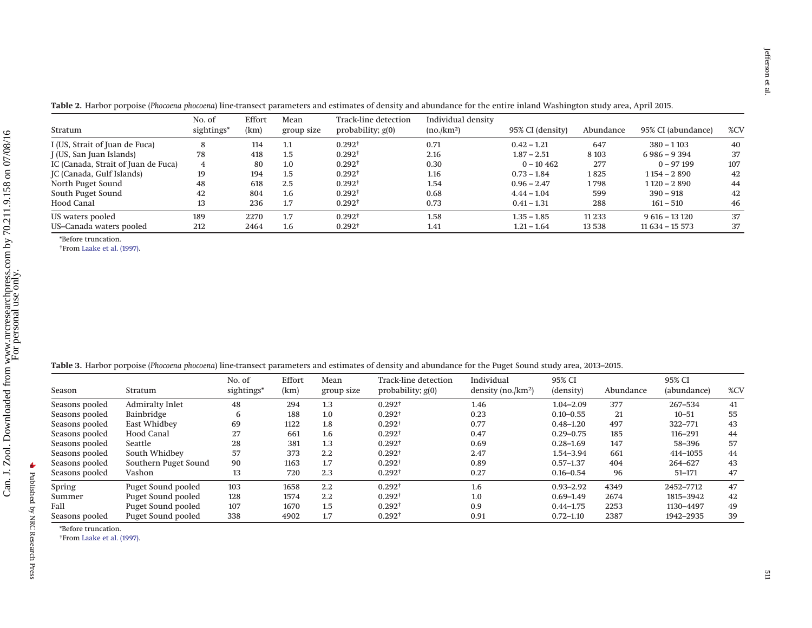| Stratum                             | No. of<br>sightings* | Effort<br>(km) | Mean<br>group size | Track-line detection<br>probability; $g(0)$ | Individual density<br>(no/km <sup>2</sup> ) | 95% CI (density) | Abundance | 95% CI (abundance) | %CV |
|-------------------------------------|----------------------|----------------|--------------------|---------------------------------------------|---------------------------------------------|------------------|-----------|--------------------|-----|
| I (US, Strait of Juan de Fuca)      |                      | 114            | 1.1                | $0.292^{+}$                                 | 0.71                                        | $0.42 - 1.21$    | 647       | $380 - 1103$       | 40  |
| J (US, San Juan Islands)            | 78                   | 418            | 1.5                | $0.292^+$                                   | 2.16                                        | $1.87 - 2.51$    | 8 1 0 3   | $6986 - 9394$      | 37  |
| IC (Canada, Strait of Juan de Fuca) | 4                    | 80             | 1.0                | $0.292^+$                                   | 0.30                                        | $0 - 10462$      | 277       | $0 - 97199$        | 107 |
| JC (Canada, Gulf Islands)           | 19                   | 194            | $1.5\,$            | $0.292^+$                                   | 1.16                                        | $0.73 - 1.84$    | 1825      | $1154 - 2890$      | 42  |
| North Puget Sound                   | 48                   | 618            | 2.5                | $0.292^+$                                   | 1.54                                        | $0.96 - 2.47$    | 1798      | $1120 - 2890$      | 44  |
| South Puget Sound                   | 42                   | 804            | 1.6                | $0.292^{+}$                                 | 0.68                                        | $4.44 - 1.04$    | 599       | $390 - 918$        | 42  |
| <b>Hood Canal</b>                   | 13                   | 236            | 1.7                | $0.292^{+}$                                 | 0.73                                        | $0.41 - 1.31$    | 288       | $161 - 510$        | 46  |
| US waters pooled                    | 189                  | 2270           | 1.7                | $0.292^{+}$                                 | 1.58                                        | $1.35 - 1.85$    | 11 2 3 3  | $9616 - 13120$     | 37  |
| US-Canada waters pooled             | 212                  | 2464           | $1.6\phantom{0}$   | $0.292^{\dagger}$                           | 1.41                                        | $1.21 - 1.64$    | 13 5 38   | $11634 - 15573$    | 37  |

**Table 2.** Harbor porpoise (*Phocoena phocoena*) line-transect parameters and estimates of density and abundance for the entire inland Washington study area, April 2015.

\*Before truncation.

†From Laake et al. [\(1997\).](#page-9-7)

|  |  |  |  |  |  |  | Table 3. Harbor porpoise (Phocoena phocoena) line-transect parameters and estimates of density and abundance for the Puget Sound study area, 2013–2015 |  |  |  |  |  |  |  |
|--|--|--|--|--|--|--|--------------------------------------------------------------------------------------------------------------------------------------------------------|--|--|--|--|--|--|--|
|--|--|--|--|--|--|--|--------------------------------------------------------------------------------------------------------------------------------------------------------|--|--|--|--|--|--|--|

| Season         | Stratum                | No. of<br>sightings* | Effort<br>(km) | Mean<br>group size | <b>Track-line detection</b><br>probability; $g(0)$ | Individual<br>density (no./ $km2$ ) | 95% CI<br>(density) | Abundance | 95% CI<br>(abundance) | %CV |
|----------------|------------------------|----------------------|----------------|--------------------|----------------------------------------------------|-------------------------------------|---------------------|-----------|-----------------------|-----|
|                |                        |                      |                |                    |                                                    |                                     |                     |           |                       |     |
| Seasons pooled | <b>Admiralty Inlet</b> | 48                   | 294            | 1.3                | $0.292^{\dagger}$                                  | 1.46                                | $1.04 - 2.09$       | 377       | 267-534               | 41  |
| Seasons pooled | Bainbridge             | 6                    | 188            | 1.0                | $0.292^{\dagger}$                                  | 0.23                                | $0.10 - 0.55$       | 21        | $10 - 51$             | 55  |
| Seasons pooled | <b>East Whidbey</b>    | 69                   | 1122           | 1.8                | $0.292^{\dagger}$                                  | 0.77                                | $0.48 - 1.20$       | 497       | 322-771               | 43  |
| Seasons pooled | <b>Hood Canal</b>      | 27                   | 661            | 1.6                | $0.292^{+}$                                        | 0.47                                | $0.29 - 0.75$       | 185       | 116-291               | 44  |
| Seasons pooled | Seattle                | 28                   | 381            | 1.3                | $0.292^+$                                          | 0.69                                | $0.28 - 1.69$       | 147       | 58-396                | 57  |
| Seasons pooled | South Whidbey          | 57                   | 373            | 2.2                | $0.292^{\dagger}$                                  | 2.47                                | 1.54-3.94           | 661       | 414-1055              | 44  |
| Seasons pooled | Southern Puget Sound   | 90                   | 1163           | 1.7                | $0.292^+$                                          | 0.89                                | $0.57 - 1.37$       | 404       | 264-627               | 43  |
| Seasons pooled | Vashon                 | 13                   | 720            | 2.3                | $0.292^{+}$                                        | 0.27                                | $0.16 - 0.54$       | 96        | $51 - 171$            | 47  |
| Spring         | Puget Sound pooled     | 103                  | 1658           | 2.2                | $0.292^{+}$                                        | 1.6                                 | $0.93 - 2.92$       | 4349      | 2452-7712             | 47  |
| Summer         | Puget Sound pooled     | 128                  | 1574           | $2.2\phantom{0}$   | $0.292^{\dagger}$                                  | 1.0                                 | $0.69 - 1.49$       | 2674      | 1815-3942             | 42  |
| Fall           | Puget Sound pooled     | 107                  | 1670           | 1.5                | $0.292^+$                                          | 0.9                                 | $0.44 - 1.75$       | 2253      | 1130-4497             | 49  |
| Seasons pooled | Puget Sound pooled     | 338                  | 4902           | 1.7                | $0.292^{+}$                                        | 0.91                                | $0.72 - 1.10$       | 2387      | 1942-2935             | 39  |

\*Before truncation.

<span id="page-6-1"></span><span id="page-6-0"></span>†From Laake et al. [\(1997\).](#page-9-7)

Published by NRC Research Press

Published by NRC Research Press

 $\blacktriangleright$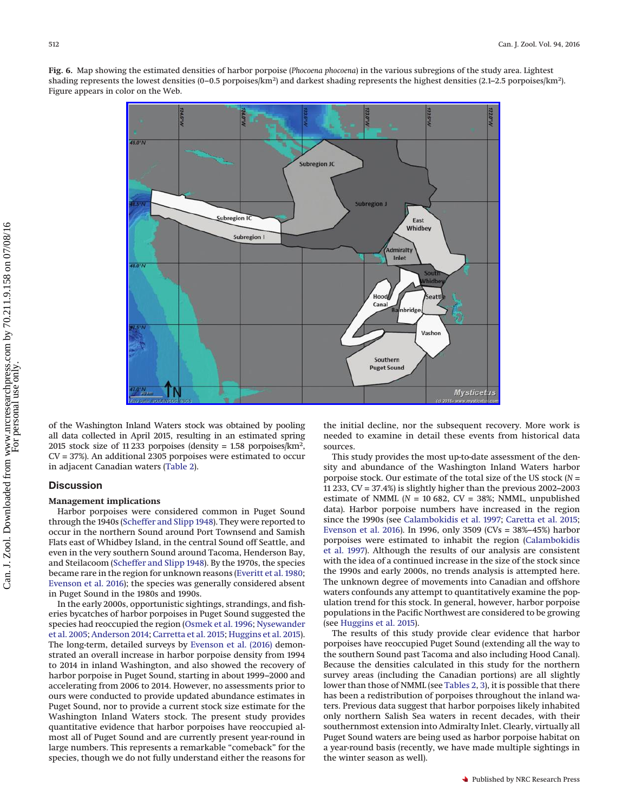<span id="page-7-0"></span>**Fig. 6.** Map showing the estimated densities of harbor porpoise (*Phocoena phocoena*) in the various subregions of the study area. Lightest shading represents the lowest densities (0-0.5 porpoises/km<sup>2</sup>) and darkest shading represents the highest densities (2.1-2.5 porpoises/km<sup>2</sup>). Figure appears in color on the Web.



of the Washington Inland Waters stock was obtained by pooling all data collected in April 2015, resulting in an estimated spring 2015 stock size of 11 233 porpoises (density = 1.58 porpoises/km2, CV = 37%). An additional 2305 porpoises were estimated to occur in adjacent Canadian waters [\(Table 2\)](#page-6-0).

## **Discussion**

#### **Management implications**

Harbor porpoises were considered common in Puget Sound through the 1940s [\(Scheffer and Slipp 1948\)](#page-10-4). They were reported to occur in the northern Sound around Port Townsend and Samish Flats east of Whidbey Island, in the central Sound off Seattle, and even in the very southern Sound around Tacoma, Henderson Bay, and Steilacoom [\(Scheffer and Slipp 1948\)](#page-10-4). By the 1970s, the species became rare in the region for unknown reasons [\(Everitt et al. 1980;](#page-9-8) [Evenson et al. 2016\)](#page-9-2); the species was generally considered absent in Puget Sound in the 1980s and 1990s.

In the early 2000s, opportunistic sightings, strandings, and fisheries bycatches of harbor porpoises in Puget Sound suggested the species had reoccupied the region [\(Osmek et al. 1996;](#page-10-5) [Nysewander](#page-10-6) [et al. 2005;](#page-10-6) [Anderson 2014;](#page-9-3) [Carretta et al. 2015;](#page-9-0) [Huggins et al. 2015\)](#page-9-4). The long-term, detailed surveys by [Evenson et al. \(2016\)](#page-9-2) demonstrated an overall increase in harbor porpoise density from 1994 to 2014 in inland Washington, and also showed the recovery of harbor porpoise in Puget Sound, starting in about 1999–2000 and accelerating from 2006 to 2014. However, no assessments prior to ours were conducted to provide updated abundance estimates in Puget Sound, nor to provide a current stock size estimate for the Washington Inland Waters stock. The present study provides quantitative evidence that harbor porpoises have reoccupied almost all of Puget Sound and are currently present year-round in large numbers. This represents a remarkable "comeback" for the species, though we do not fully understand either the reasons for

the initial decline, nor the subsequent recovery. More work is needed to examine in detail these events from historical data sources.

This study provides the most up-to-date assessment of the density and abundance of the Washington Inland Waters harbor porpoise stock. Our estimate of the total size of the US stock (*N* = 11 233, CV = 37.4%) is slightly higher than the previous 2002–2003 estimate of NMML ( $N = 10682$ ,  $CV = 38%$ ; NMML, unpublished data). Harbor porpoise numbers have increased in the region since the 1990s (see [Calambokidis et al. 1997;](#page-9-6) [Caretta et al. 2015;](#page-9-0) [Evenson et al. 2016\)](#page-9-2). In 1996, only 3509 (CVs = 38%–45%) harbor porpoises were estimated to inhabit the region [\(Calambokidis](#page-9-6) [et al. 1997\)](#page-9-6). Although the results of our analysis are consistent with the idea of a continued increase in the size of the stock since the 1990s and early 2000s, no trends analysis is attempted here. The unknown degree of movements into Canadian and offshore waters confounds any attempt to quantitatively examine the population trend for this stock. In general, however, harbor porpoise populations in the Pacific Northwest are considered to be growing (see [Huggins et al. 2015\)](#page-9-4).

The results of this study provide clear evidence that harbor porpoises have reoccupied Puget Sound (extending all the way to the southern Sound past Tacoma and also including Hood Canal). Because the densities calculated in this study for the northern survey areas (including the Canadian portions) are all slightly lower than those of NMML (see [Tables 2,](#page-6-0) [3\)](#page-6-1), it is possible that there has been a redistribution of porpoises throughout the inland waters. Previous data suggest that harbor porpoises likely inhabited only northern Salish Sea waters in recent decades, with their southernmost extension into Admiralty Inlet. Clearly, virtually all Puget Sound waters are being used as harbor porpoise habitat on a year-round basis (recently, we have made multiple sightings in the winter season as well).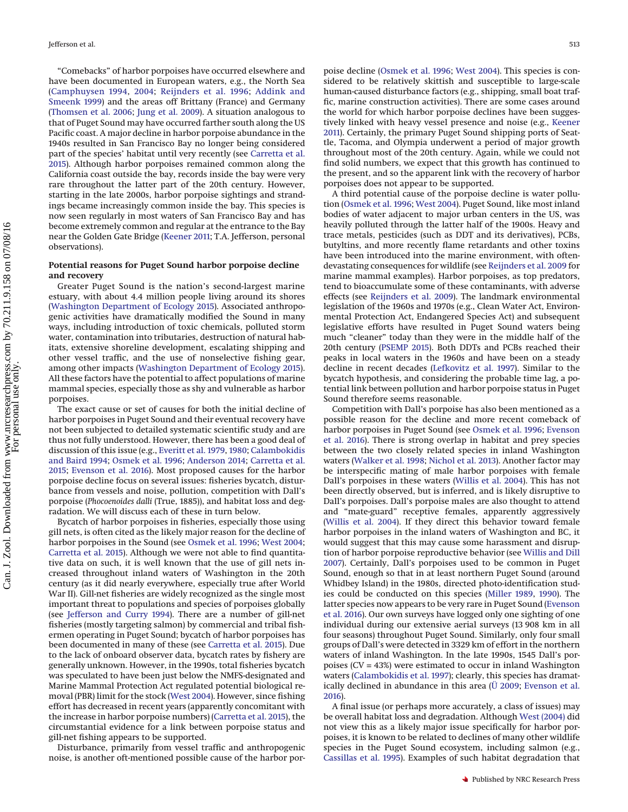"Comebacks" of harbor porpoises have occurred elsewhere and have been documented in European waters, e.g., the North Sea [\(Camphuysen 1994,](#page-9-9) [2004;](#page-9-10) [Reijnders et al. 1996;](#page-10-7) [Addink and](#page-9-11) [Smeenk 1999\)](#page-9-11) and the areas off Brittany (France) and Germany [\(Thomsen et al. 2006;](#page-10-8) [Jung et al. 2009\)](#page-9-12). A situation analogous to that of Puget Sound may have occurred farther south along the US Pacific coast. A major decline in harbor porpoise abundance in the 1940s resulted in San Francisco Bay no longer being considered part of the species' habitat until very recently (see [Carretta et al.](#page-9-0) [2015\)](#page-9-0). Although harbor porpoises remained common along the California coast outside the bay, records inside the bay were very rare throughout the latter part of the 20th century. However, starting in the late 2000s, harbor porpoise sightings and strandings became increasingly common inside the bay. This species is now seen regularly in most waters of San Francisco Bay and has become extremely common and regular at the entrance to the Bay near the Golden Gate Bridge [\(Keener 2011;](#page-9-13) T.A. Jefferson, personal observations).

# **Potential reasons for Puget Sound harbor porpoise decline and recovery**

Greater Puget Sound is the nation's second-largest marine estuary, with about 4.4 million people living around its shores [\(Washington Department of Ecology 2015\)](#page-10-9). Associated anthropogenic activities have dramatically modified the Sound in many ways, including introduction of toxic chemicals, polluted storm water, contamination into tributaries, destruction of natural habitats, extensive shoreline development, escalating shipping and other vessel traffic, and the use of nonselective fishing gear, among other impacts [\(Washington Department of Ecology 2015\)](#page-10-9). All these factors have the potential to affect populations of marine mammal species, especially those as shy and vulnerable as harbor porpoises.

The exact cause or set of causes for both the initial decline of harbor porpoises in Puget Sound and their eventual recovery have not been subjected to detailed systematic scientific study and are thus not fully understood. However, there has been a good deal of discussion of this issue (e.g., [Everitt et al. 1979,](#page-9-14) [1980;](#page-9-8) [Calambokidis](#page-9-15) [and Baird 1994;](#page-9-15) [Osmek et al. 1996;](#page-10-5) [Anderson 2014;](#page-9-3) [Carretta et al.](#page-9-0) [2015;](#page-9-0) [Evenson et al. 2016\)](#page-9-2). Most proposed causes for the harbor porpoise decline focus on several issues: fisheries bycatch, disturbance from vessels and noise, pollution, competition with Dall's porpoise (*Phocoenoides dalli* (True, 1885)), and habitat loss and degradation. We will discuss each of these in turn below.

Bycatch of harbor porpoises in fisheries, especially those using gill nets, is often cited as the likely major reason for the decline of harbor porpoises in the Sound (see [Osmek et al. 1996;](#page-10-5) [West 2004;](#page-10-10) [Carretta et al. 2015\)](#page-9-0). Although we were not able to find quantitative data on such, it is well known that the use of gill nets increased throughout inland waters of Washington in the 20th century (as it did nearly everywhere, especially true after World War II). Gill-net fisheries are widely recognized as the single most important threat to populations and species of porpoises globally (see [Jefferson and Curry 1994\)](#page-9-16). There are a number of gill-net fisheries (mostly targeting salmon) by commercial and tribal fishermen operating in Puget Sound; bycatch of harbor porpoises has been documented in many of these (see [Carretta et al. 2015\)](#page-9-0). Due to the lack of onboard observer data, bycatch rates by fishery are generally unknown. However, in the 1990s, total fisheries bycatch was speculated to have been just below the NMFS-designated and Marine Mammal Protection Act regulated potential biological removal (PBR) limit for the stock [\(West 2004\)](#page-10-10). However, since fishing effort has decreased in recent years (apparently concomitant with the increase in harbor porpoise numbers) [\(Carretta et al. 2015\)](#page-9-0), the circumstantial evidence for a link between porpoise status and gill-net fishing appears to be supported.

Disturbance, primarily from vessel traffic and anthropogenic noise, is another oft-mentioned possible cause of the harbor porpoise decline [\(Osmek et al. 1996;](#page-10-5) [West 2004\)](#page-10-10). This species is considered to be relatively skittish and susceptible to large-scale human-caused disturbance factors (e.g., shipping, small boat traffic, marine construction activities). There are some cases around the world for which harbor porpoise declines have been suggestively linked with heavy vessel presence and noise (e.g., [Keener](#page-9-13) [2011\)](#page-9-13). Certainly, the primary Puget Sound shipping ports of Seattle, Tacoma, and Olympia underwent a period of major growth throughout most of the 20th century. Again, while we could not find solid numbers, we expect that this growth has continued to the present, and so the apparent link with the recovery of harbor porpoises does not appear to be supported.

A third potential cause of the porpoise decline is water pollution [\(Osmek et al. 1996;](#page-10-5) [West 2004\)](#page-10-10). Puget Sound, like most inland bodies of water adjacent to major urban centers in the US, was heavily polluted through the latter half of the 1900s. Heavy and trace metals, pesticides (such as DDT and its derivatives), PCBs, butyltins, and more recently flame retardants and other toxins have been introduced into the marine environment, with oftendevastating consequences for wildlife (see [Reijnders et al. 2009](#page-10-11) for marine mammal examples). Harbor porpoises, as top predators, tend to bioaccumulate some of these contaminants, with adverse effects (see [Reijnders et al. 2009\)](#page-10-11). The landmark environmental legislation of the 1960s and 1970s (e.g., Clean Water Act, Environmental Protection Act, Endangered Species Act) and subsequent legislative efforts have resulted in Puget Sound waters being much "cleaner" today than they were in the middle half of the 20th century [\(PSEMP 2015\)](#page-10-12). Both DDTs and PCBs reached their peaks in local waters in the 1960s and have been on a steady decline in recent decades [\(Lefkovitz et al. 1997\)](#page-10-13). Similar to the bycatch hypothesis, and considering the probable time lag, a potential link between pollution and harbor porpoise status in Puget Sound therefore seems reasonable.

Competition with Dall's porpoise has also been mentioned as a possible reason for the decline and more recent comeback of harbor porpoises in Puget Sound (see [Osmek et al. 1996;](#page-10-5) [Evenson](#page-9-2) [et al. 2016\)](#page-9-2). There is strong overlap in habitat and prey species between the two closely related species in inland Washington waters [\(Walker et al. 1998;](#page-10-14) [Nichol et al. 2013\)](#page-10-15). Another factor may be interspecific mating of male harbor porpoises with female Dall's porpoises in these waters [\(Willis et al. 2004\)](#page-10-16). This has not been directly observed, but is inferred, and is likely disruptive to Dall's porpoises. Dall's porpoise males are also thought to attend and "mate-guard" receptive females, apparently aggressively [\(Willis et al. 2004\)](#page-10-16). If they direct this behavior toward female harbor porpoises in the inland waters of Washington and BC, it would suggest that this may cause some harassment and disruption of harbor porpoise reproductive behavior (see [Willis and Dill](#page-10-17) [2007\)](#page-10-17). Certainly, Dall's porpoises used to be common in Puget Sound, enough so that in at least northern Puget Sound (around Whidbey Island) in the 1980s, directed photo-identification studies could be conducted on this species [\(Miller 1989,](#page-10-18) [1990\)](#page-10-19). The latter species now appears to be very rare in Puget Sound [\(Evenson](#page-9-2) [et al. 2016\)](#page-9-2). Our own surveys have logged only one sighting of one individual during our extensive aerial surveys (13 908 km in all four seasons) throughout Puget Sound. Similarly, only four small groups of Dall's were detected in 3329 km of effort in the northern waters of inland Washington. In the late 1990s, 1545 Dall's porpoises (CV = 43%) were estimated to occur in inland Washington waters [\(Calambokidis et al. 1997\)](#page-9-6); clearly, this species has dramatically declined in abundance in this area (U¨ [2009;](#page-10-1) [Evenson et al.](#page-9-2) [2016\)](#page-9-2).

A final issue (or perhaps more accurately, a class of issues) may be overall habitat loss and degradation. Although [West \(2004\)](#page-10-10) did not view this as a likely major issue specifically for harbor porpoises, it is known to be related to declines of many other wildlife species in the Puget Sound ecosystem, including salmon (e.g., [Cassillas et al. 1995\)](#page-9-17). Examples of such habitat degradation that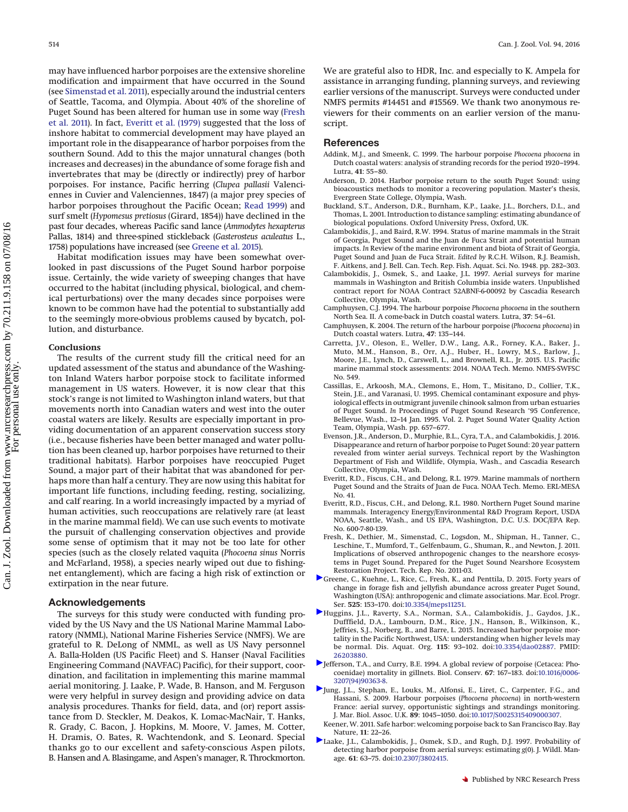may have influenced harbor porpoises are the extensive shoreline modification and impairment that have occurred in the Sound (see [Simenstad et al. 2011\)](#page-10-20), especially around the industrial centers of Seattle, Tacoma, and Olympia. About 40% of the shoreline of Puget Sound has been altered for human use in some way [\(Fresh](#page-9-18) [et al. 2011\)](#page-9-18). In fact, [Everitt et al. \(1979\)](#page-9-14) suggested that the loss of inshore habitat to commercial development may have played an important role in the disappearance of harbor porpoises from the southern Sound. Add to this the major unnatural changes (both increases and decreases) in the abundance of some forage fish and invertebrates that may be (directly or indirectly) prey of harbor porpoises. For instance, Pacific herring (*Clupea pallasii* Valenciennes in Cuvier and Valenciennes, 1847) (a major prey species of harbor porpoises throughout the Pacific Ocean; [Read 1999\)](#page-10-21) and surf smelt (*Hypomesus pretiosus* (Girard, 1854)) have declined in the past four decades, whereas Pacific sand lance (*Ammodytes hexapterus* Pallas, 1814) and three-spined stickleback (*Gasterosteus aculeatus* L., 1758) populations have increased (see [Greene et al. 2015\)](#page-9-19).

Habitat modification issues may have been somewhat overlooked in past discussions of the Puget Sound harbor porpoise issue. Certainly, the wide variety of sweeping changes that have occurred to the habitat (including physical, biological, and chemical perturbations) over the many decades since porpoises were known to be common have had the potential to substantially add to the seemingly more-obvious problems caused by bycatch, pollution, and disturbance.

#### <span id="page-9-7"></span>**Conclusions**

The results of the current study fill the critical need for an updated assessment of the status and abundance of the Washington Inland Waters harbor porpoise stock to facilitate informed management in US waters. However, it is now clear that this stock's range is not limited to Washington inland waters, but that movements north into Canadian waters and west into the outer coastal waters are likely. Results are especially important in providing documentation of an apparent conservation success story (i.e., because fisheries have been better managed and water pollution has been cleaned up, harbor porpoises have returned to their traditional habitats). Harbor porpoises have reoccupied Puget Sound, a major part of their habitat that was abandoned for perhaps more than half a century. They are now using this habitat for important life functions, including feeding, resting, socializing, and calf rearing. In a world increasingly impacted by a myriad of human activities, such reoccupations are relatively rare (at least in the marine mammal field). We can use such events to motivate the pursuit of challenging conservation objectives and provide some sense of optimism that it may not be too late for other species (such as the closely related vaquita (*Phocoena sinus* Norris and McFarland, 1958), a species nearly wiped out due to fishingnet entanglement), which are facing a high risk of extinction or extirpation in the near future.

### **Acknowledgements**

The surveys for this study were conducted with funding provided by the US Navy and the US National Marine Mammal Laboratory (NMML), National Marine Fisheries Service (NMFS). We are grateful to R. DeLong of NMML, as well as US Navy personnel A. Balla-Holden (US Pacific Fleet) and S. Hanser (Naval Facilities Engineering Command (NAVFAC) Pacific), for their support, coordination, and facilitation in implementing this marine mammal aerial monitoring. J. Laake, P. Wade, B. Hanson, and M. Ferguson were very helpful in survey design and providing advice on data analysis procedures. Thanks for field, data, and (or) report assistance from D. Steckler, M. Deakos, K. Lomac-MacNair, T. Hanks, R. Grady, C. Bacon, J. Hopkins, M. Moore, V. James, M. Cotter, H. Dramis, O. Bates, R. Wachtendonk, and S. Leonard. Special thanks go to our excellent and safety-conscious Aspen pilots, B. Hansen and A. Blasingame, and Aspen's manager, R. Throckmorton. We are grateful also to HDR, Inc. and especially to K. Ampela for assistance in arranging funding, planning surveys, and reviewing earlier versions of the manuscript. Surveys were conducted under NMFS permits #14451 and #15569. We thank two anonymous reviewers for their comments on an earlier version of the manuscript.

#### **References**

- <span id="page-9-11"></span>Addink, M.J., and Smeenk, C. 1999. The harbour porpoise *Phocoena phocoena* in Dutch coastal waters: analysis of stranding records for the period 1920–1994. Lutra, **41**: 55–80.
- <span id="page-9-3"></span>Anderson, D. 2014. Harbor porpoise return to the south Puget Sound: using bioacoustics methods to monitor a recovering population. Master's thesis, Evergreen State College, Olympia, Wash.
- <span id="page-9-5"></span>Buckland, S.T., Anderson, D.R., Burnham, K.P., Laake, J.L., Borchers, D.L., and Thomas, L. 2001. Introduction to distance sampling: estimating abundance of biological populations. Oxford University Press, Oxford, UK.
- <span id="page-9-15"></span>Calambokidis, J., and Baird, R.W. 1994. Status of marine mammals in the Strait of Georgia, Puget Sound and the Juan de Fuca Strait and potential human impacts. *In* Review of the marine environment and biota of Strait of Georgia, Puget Sound and Juan de Fuca Strait. *Edited by* R.C.H. Wilson, R.J. Beamish, F. Aitkens, and J. Bell. Can. Tech. Rep. Fish. Aquat. Sci. No. 1948. pp. 282–303.
- <span id="page-9-6"></span>Calambokidis, J., Osmek, S., and Laake, J.L. 1997. Aerial surveys for marine mammals in Washington and British Columbia inside waters. Unpublished contract report for NOAA Contract 52ABNF-6-00092 by Cascadia Research Collective, Olympia, Wash.
- <span id="page-9-9"></span>Camphuysen, C.J. 1994. The harbour porpoise *Phocoena phocoena* in the southern North Sea. II. A come-back in Dutch coastal waters. Lutra, **37**: 54–61.
- <span id="page-9-10"></span>Camphuysen, K. 2004. The return of the harbour porpoise (*Phocoena phocoena*) in Dutch coastal waters. Lutra, **47**: 135–144.
- <span id="page-9-0"></span>Carretta, J.V., Oleson, E., Weller, D.W., Lang, A.R., Forney, K.A., Baker, J., Muto, M.M., Hanson, B., Orr, A.J., Huber, H., Lowry, M.S., Barlow, J., Moore, J.E., Lynch, D., Carswell, L., and Brownell, R.L., Jr. 2015. U.S. Pacific marine mammal stock assessments: 2014. NOAA Tech. Memo. NMFS-SWFSC No. 549.
- <span id="page-9-17"></span>Cassillas, E., Arkoosh, M.A., Clemons, E., Hom, T., Misitano, D., Collier, T.K., Stein, J.E., and Varanasi, U. 1995. Chemical contaminant exposure and physiological effects in outmigrant juvenile chinook salmon from urban estuaries of Puget Sound. *In* Proceedings of Puget Sound Research '95 Conference, Bellevue, Wash., 12–14 Jan. 1995. Vol. 2. Puget Sound Water Quality Action Team, Olympia, Wash. pp. 657–677.
- <span id="page-9-2"></span>Evenson, J.R., Anderson, D., Murphie, B.L., Cyra, T.A., and Calambokidis, J. 2016. Disappearance and return of harbor porpoise to Puget Sound: 20 year pattern revealed from winter aerial surveys. Technical report by the Washington Department of Fish and Wildlife, Olympia, Wash., and Cascadia Research Collective, Olympia, Wash.
- <span id="page-9-14"></span>Everitt, R.D., Fiscus, C.H., and Delong, R.L. 1979. Marine mammals of northern Puget Sound and the Straits of Juan de Fuca. NOAA Tech. Memo. ERL-MESA No. 41.
- <span id="page-9-8"></span>Everitt, R.D., Fiscus, C.H., and Delong, R.L. 1980. Northern Puget Sound marine mammals. Interagency Energy/Environmental R&D Program Report, USDA NOAA, Seattle, Wash., and US EPA, Washington, D.C. U.S. DOC/EPA Rep. No. 600-7-80-139.
- <span id="page-9-18"></span>Fresh, K., Dethier, M., Simenstad, C., Logsdon, M., Shipman, H., Tanner, C., Leschine, T., Mumford, T., Gelfenbaum, G., Shuman, R., and Newton, J. 2011. Implications of observed anthropogenic changes to the nearshore ecosystems in Puget Sound. Prepared for the Puget Sound Nearshore Ecosystem Restoration Project. Tech. Rep. No. 2011-03.
- <span id="page-9-19"></span>[G](http://www.nrcresearchpress.com/action/showLinks?crossref=10.3354%2Fmeps11251)reene, C., Kuehne, L., Rice, C., Fresh, K., and Penttila, D. 2015. Forty years of change in forage fish and jellyfish abundance across greater Puget Sound, Washington (USA): anthropogenic and climate associations. Mar. Ecol. Progr. Ser. **525**: 153–170. doi[:10.3354/meps11251.](http://dx.doi.org/10.3354/meps11251)
- <span id="page-9-4"></span>[H](http://www.nrcresearchpress.com/action/showLinks?pmid=26203880&crossref=10.3354%2Fdao02887)uggins, J.L., Raverty, S.A., Norman, S.A., Calambokidis, J., Gaydos, J.K., Dufffield, D.A., Lambourn, D.M., Rice, J.N., Hanson, B., Wilkinson, K., Jeffries, S.J., Norberg, B., and Barre, L. 2015. Increased harbor porpoise mortality in the Pacific Northwest, USA: understanding when higher levels may be normal. Dis. Aquat. Org. **115**: 93–102. doi[:10.3354/dao02887.](http://dx.doi.org/10.3354/dao02887) PMID: [26203880.](http://www.ncbi.nlm.nih.gov/pubmed/26203880)
- <span id="page-9-16"></span>[J](http://www.nrcresearchpress.com/action/showLinks?crossref=10.1016%2F0006-3207%2894%2990363-8&isi=A1994MT61400011)efferson, T.A., and Curry, B.E. 1994. A global review of porpoise (Cetacea: Phocoenidae) mortality in gillnets. Biol. Conserv. **67**: 167–183. doi[:10.1016/0006-](http://dx.doi.org/10.1016/0006-3207(94)90363-8) [3207\(94\)90363-8.](http://dx.doi.org/10.1016/0006-3207(94)90363-8)
- <span id="page-9-12"></span>[J](http://www.nrcresearchpress.com/action/showLinks?crossref=10.1017%2FS0025315409000307)ung, J.L., Stephan, E., Louks, M., Alfonsi, E., Liret, C., Carpenter, F.G., and Hassani, S. 2009. Harbour porpoises (*Phocoena phocoena*) in north-western France: aerial survey, opportunistic sightings and strandings monitoring. J. Mar. Biol. Assoc. U.K. **89**: 1045–1050. doi[:10.1017/S0025315409000307.](http://dx.doi.org/10.1017/S0025315409000307)
- <span id="page-9-13"></span>Keener, W. 2011. Safe harbor: welcoming porpoise back to San Francisco Bay. Bay Nature, **11**: 22–26.
- <span id="page-9-1"></span>[L](http://www.nrcresearchpress.com/action/showLinks?crossref=10.2307%2F3802415)aake, J.L., Calambokidis, J., Osmek, S.D., and Rugh, D.J. 1997. Probability of detecting harbor porpoise from aerial surveys: estimating *g*(0). J. Wildl. Manage. **61**: 63–75. doi[:10.2307/3802415.](http://dx.doi.org/10.2307/3802415)